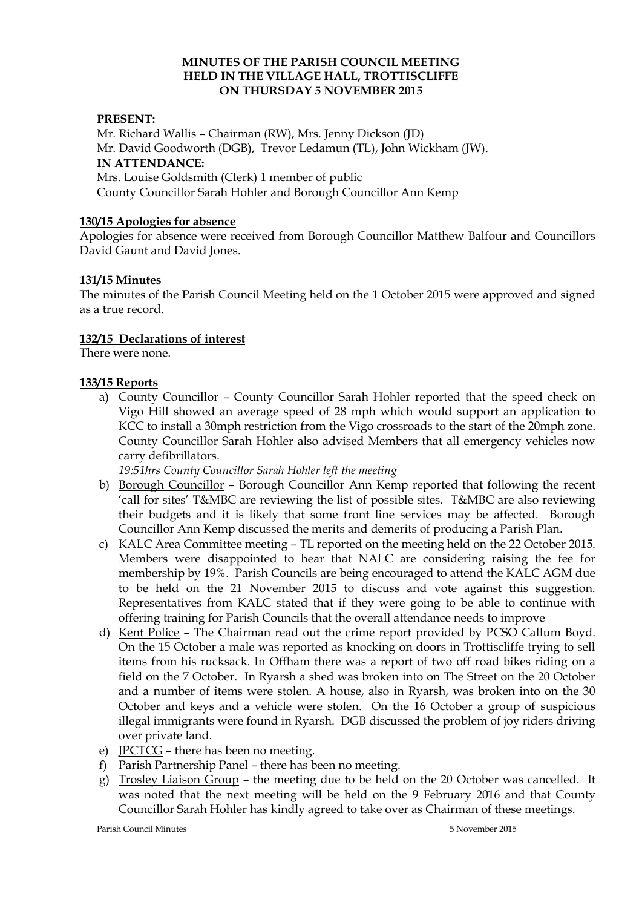## **MINUTES OF THE PARISH COUNCIL MEETING HELD IN THE VILLAGE HALL, TROTTISCLIFFE ON THURSDAY 5 NOVEMBER 2015**

## **PRESENT:**

Mr. Richard Wallis – Chairman (RW), Mrs. Jenny Dickson (JD) Mr. David Goodworth (DGB), Trevor Ledamun (TL), John Wickham (JW). **IN ATTENDANCE:**  Mrs. Louise Goldsmith (Clerk) 1 member of public County Councillor Sarah Hohler and Borough Councillor Ann Kemp

### **130/15 Apologies for absence**

Apologies for absence were received from Borough Councillor Matthew Balfour and Councillors David Gaunt and David Jones.

## **131/15 Minutes**

The minutes of the Parish Council Meeting held on the 1 October 2015 were approved and signed as a true record.

### **132/15 Declarations of interest**

There were none.

### **133/15 Reports**

a) County Councillor – County Councillor Sarah Hohler reported that the speed check on Vigo Hill showed an average speed of 28 mph which would support an application to KCC to install a 30mph restriction from the Vigo crossroads to the start of the 20mph zone. County Councillor Sarah Hohler also advised Members that all emergency vehicles now carry defibrillators.

*19:51hrs County Councillor Sarah Hohler left the meeting*

- b) Borough Councillor Borough Councillor Ann Kemp reported that following the recent 'call for sites' T&MBC are reviewing the list of possible sites. T&MBC are also reviewing their budgets and it is likely that some front line services may be affected. Borough Councillor Ann Kemp discussed the merits and demerits of producing a Parish Plan.
- c) KALC Area Committee meeting TL reported on the meeting held on the 22 October 2015. Members were disappointed to hear that NALC are considering raising the fee for membership by 19%. Parish Councils are being encouraged to attend the KALC AGM due to be held on the 21 November 2015 to discuss and vote against this suggestion. Representatives from KALC stated that if they were going to be able to continue with offering training for Parish Councils that the overall attendance needs to improve
- d) Kent Police The Chairman read out the crime report provided by PCSO Callum Boyd. On the 15 October a male was reported as knocking on doors in Trottiscliffe trying to sell items from his rucksack. In Offham there was a report of two off road bikes riding on a field on the 7 October. In Ryarsh a shed was broken into on The Street on the 20 October and a number of items were stolen. A house, also in Ryarsh, was broken into on the 30 October and keys and a vehicle were stolen. On the 16 October a group of suspicious illegal immigrants were found in Ryarsh. DGB discussed the problem of joy riders driving over private land.
- e) JPCTCG there has been no meeting.
- f) Parish Partnership Panel there has been no meeting.
- g) Trosley Liaison Group the meeting due to be held on the 20 October was cancelled. It was noted that the next meeting will be held on the 9 February 2016 and that County Councillor Sarah Hohler has kindly agreed to take over as Chairman of these meetings.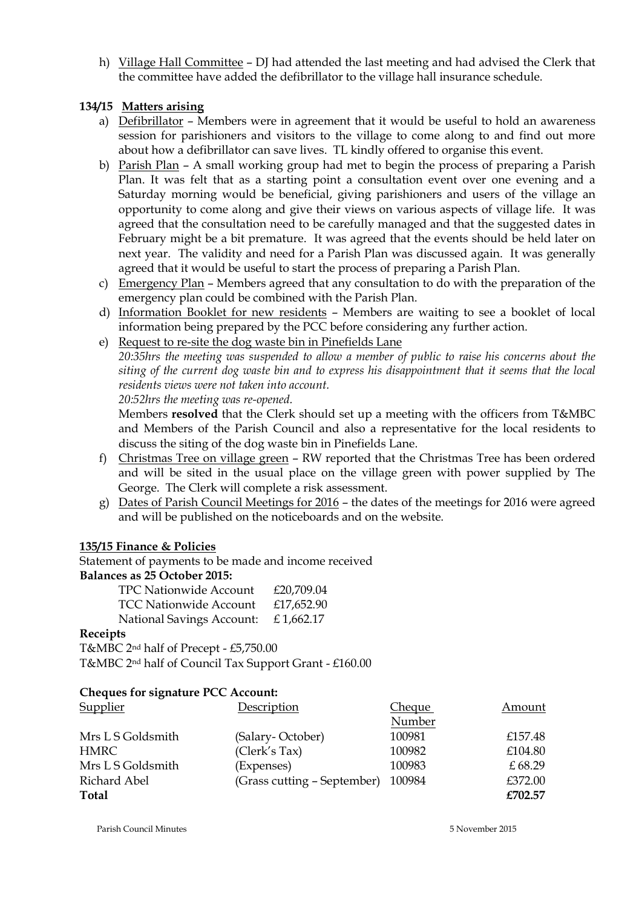h) Village Hall Committee - DJ had attended the last meeting and had advised the Clerk that the committee have added the defibrillator to the village hall insurance schedule.

# **134/15 Matters arising**

- a) Defibrillator Members were in agreement that it would be useful to hold an awareness session for parishioners and visitors to the village to come along to and find out more about how a defibrillator can save lives. TL kindly offered to organise this event.
- b) Parish Plan A small working group had met to begin the process of preparing a Parish Plan. It was felt that as a starting point a consultation event over one evening and a Saturday morning would be beneficial, giving parishioners and users of the village an opportunity to come along and give their views on various aspects of village life. It was agreed that the consultation need to be carefully managed and that the suggested dates in February might be a bit premature. It was agreed that the events should be held later on next year. The validity and need for a Parish Plan was discussed again. It was generally agreed that it would be useful to start the process of preparing a Parish Plan.
- c) Emergency Plan Members agreed that any consultation to do with the preparation of the emergency plan could be combined with the Parish Plan.
- d) Information Booklet for new residents Members are waiting to see a booklet of local information being prepared by the PCC before considering any further action.
- e) Request to re-site the dog waste bin in Pinefields Lane

*20:35hrs the meeting was suspended to allow a member of public to raise his concerns about the siting of the current dog waste bin and to express his disappointment that it seems that the local residents views were not taken into account.*

*20:52hrs the meeting was re-opened.*

Members **resolved** that the Clerk should set up a meeting with the officers from T&MBC and Members of the Parish Council and also a representative for the local residents to discuss the siting of the dog waste bin in Pinefields Lane.

- f) Christmas Tree on village green RW reported that the Christmas Tree has been ordered and will be sited in the usual place on the village green with power supplied by The George. The Clerk will complete a risk assessment.
- g) Dates of Parish Council Meetings for 2016 the dates of the meetings for 2016 were agreed and will be published on the noticeboards and on the website.

## **135/15 Finance & Policies**

Statement of payments to be made and income received **Balances as 25 October 2015:**

| es as 25 October 2015:              |            |
|-------------------------------------|------------|
| <b>TPC Nationwide Account</b>       | £20,709.04 |
| <b>TCC Nationwide Account</b>       | £17,652.90 |
| National Savings Account: £1,662.17 |            |

## **Receipts**

T&MBC 2nd half of Precept - £5,750.00 T&MBC 2nd half of Council Tax Support Grant - £160.00

## **Cheques for signature PCC Account:**

| <b>Supplier</b>   | Description                 | <b>Cheque</b> | Amount  |
|-------------------|-----------------------------|---------------|---------|
|                   |                             | Number        |         |
| Mrs L S Goldsmith | (Salary-October)            | 100981        | £157.48 |
| <b>HMRC</b>       | (Clerk's Tax)               | 100982        | £104.80 |
| Mrs L S Goldsmith | (Expenses)                  | 100983        | £68.29  |
| Richard Abel      | (Grass cutting - September) | 100984        | £372.00 |
| Total             |                             |               | £702.57 |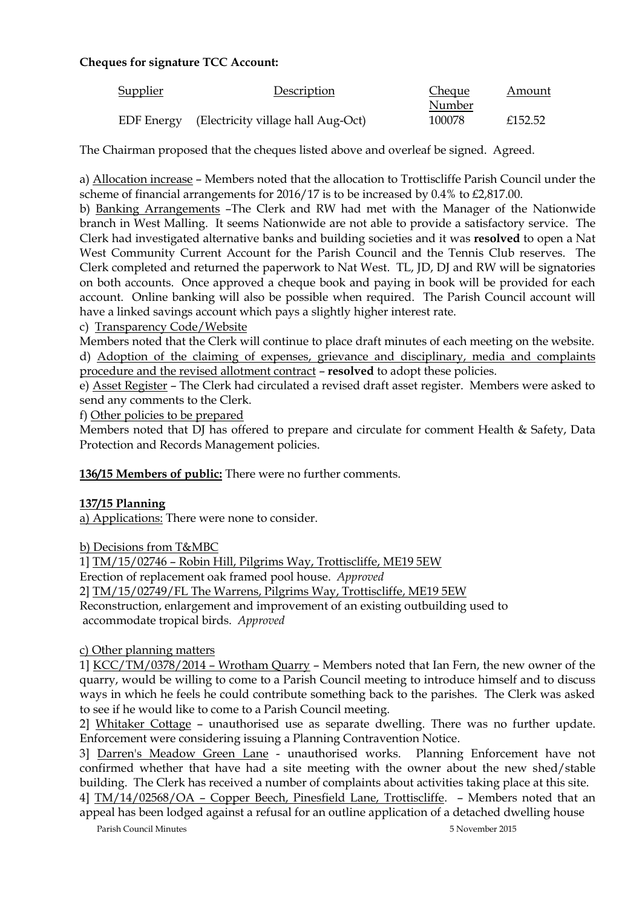# **Cheques for signature TCC Account:**

| Supplier          | Description                        | <b>Cheque</b> | Amount  |
|-------------------|------------------------------------|---------------|---------|
|                   |                                    | Number        |         |
| <b>EDF</b> Energy | (Electricity village hall Aug-Oct) | 100078        | £152.52 |

The Chairman proposed that the cheques listed above and overleaf be signed. Agreed.

a) Allocation increase – Members noted that the allocation to Trottiscliffe Parish Council under the scheme of financial arrangements for 2016/17 is to be increased by 0.4% to £2,817.00.

b) Banking Arrangements –The Clerk and RW had met with the Manager of the Nationwide branch in West Malling. It seems Nationwide are not able to provide a satisfactory service. The Clerk had investigated alternative banks and building societies and it was **resolved** to open a Nat West Community Current Account for the Parish Council and the Tennis Club reserves. The Clerk completed and returned the paperwork to Nat West. TL, JD, DJ and RW will be signatories on both accounts. Once approved a cheque book and paying in book will be provided for each account. Online banking will also be possible when required. The Parish Council account will have a linked savings account which pays a slightly higher interest rate.

# c) Transparency Code/Website

Members noted that the Clerk will continue to place draft minutes of each meeting on the website. d) Adoption of the claiming of expenses, grievance and disciplinary, media and complaints procedure and the revised allotment contract – **resolved** to adopt these policies.

e) Asset Register – The Clerk had circulated a revised draft asset register. Members were asked to send any comments to the Clerk.

f) Other policies to be prepared

Members noted that DJ has offered to prepare and circulate for comment Health & Safety, Data Protection and Records Management policies.

**136/15 Members of public:** There were no further comments.

## **137/15 Planning**

a) Applications: There were none to consider.

b) Decisions from T&MBC

1] TM/15/02746 – Robin Hill, Pilgrims Way, Trottiscliffe, ME19 5EW Erection of replacement oak framed pool house. *Approved* 2] TM/15/02749/FL The Warrens, Pilgrims Way, Trottiscliffe, ME19 5EW Reconstruction, enlargement and improvement of an existing outbuilding used to

accommodate tropical birds. *Approved*

## c) Other planning matters

1] KCC/TM/0378/2014 – Wrotham Quarry – Members noted that Ian Fern, the new owner of the quarry, would be willing to come to a Parish Council meeting to introduce himself and to discuss ways in which he feels he could contribute something back to the parishes. The Clerk was asked to see if he would like to come to a Parish Council meeting.

2] Whitaker Cottage – unauthorised use as separate dwelling. There was no further update. Enforcement were considering issuing a Planning Contravention Notice.

3] Darren's Meadow Green Lane - unauthorised works. Planning Enforcement have not confirmed whether that have had a site meeting with the owner about the new shed/stable building. The Clerk has received a number of complaints about activities taking place at this site.

Parish Council Minutes 5 November 2015 4] TM/14/02568/OA – Copper Beech, Pinesfield Lane, Trottiscliffe. – Members noted that an appeal has been lodged against a refusal for an outline application of a detached dwelling house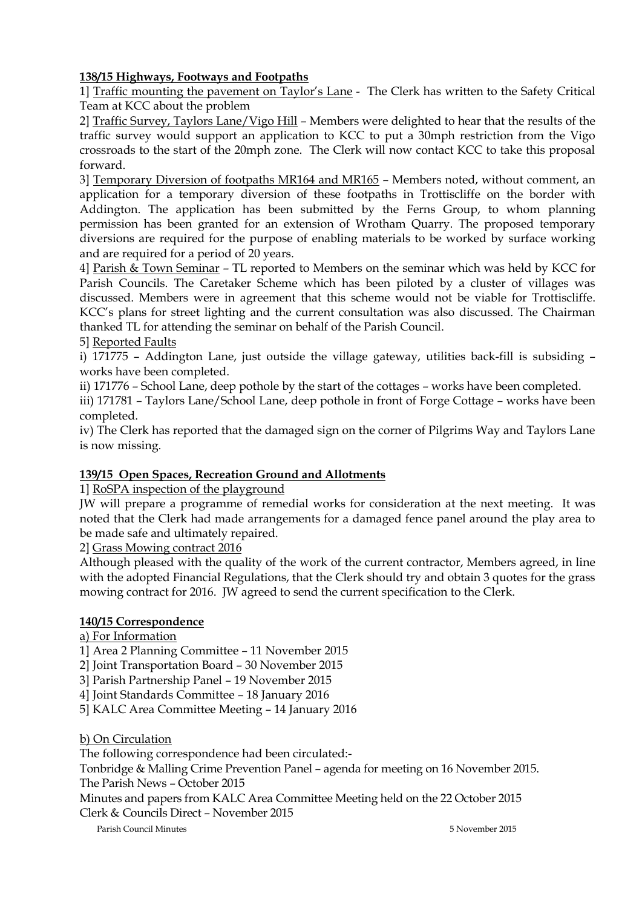# **138/15 Highways, Footways and Footpaths**

1] Traffic mounting the pavement on Taylor's Lane - The Clerk has written to the Safety Critical Team at KCC about the problem

2] Traffic Survey, Taylors Lane/Vigo Hill – Members were delighted to hear that the results of the traffic survey would support an application to KCC to put a 30mph restriction from the Vigo crossroads to the start of the 20mph zone. The Clerk will now contact KCC to take this proposal forward.

3] Temporary Diversion of footpaths MR164 and MR165 – Members noted, without comment, an application for a temporary diversion of these footpaths in Trottiscliffe on the border with Addington. The application has been submitted by the Ferns Group, to whom planning permission has been granted for an extension of Wrotham Quarry. The proposed temporary diversions are required for the purpose of enabling materials to be worked by surface working and are required for a period of 20 years.

4] Parish & Town Seminar – TL reported to Members on the seminar which was held by KCC for Parish Councils. The Caretaker Scheme which has been piloted by a cluster of villages was discussed. Members were in agreement that this scheme would not be viable for Trottiscliffe. KCC's plans for street lighting and the current consultation was also discussed. The Chairman thanked TL for attending the seminar on behalf of the Parish Council.

5] Reported Faults

i) 171775 – Addington Lane, just outside the village gateway, utilities back-fill is subsiding – works have been completed.

ii) 171776 – School Lane, deep pothole by the start of the cottages – works have been completed.

iii) 171781 – Taylors Lane/School Lane, deep pothole in front of Forge Cottage – works have been completed.

iv) The Clerk has reported that the damaged sign on the corner of Pilgrims Way and Taylors Lane is now missing.

## **139/15 Open Spaces, Recreation Ground and Allotments**

1] RoSPA inspection of the playground

JW will prepare a programme of remedial works for consideration at the next meeting. It was noted that the Clerk had made arrangements for a damaged fence panel around the play area to be made safe and ultimately repaired.

2] Grass Mowing contract 2016

Although pleased with the quality of the work of the current contractor, Members agreed, in line with the adopted Financial Regulations, that the Clerk should try and obtain 3 quotes for the grass mowing contract for 2016. JW agreed to send the current specification to the Clerk.

## **140/15 Correspondence**

a) For Information

1] Area 2 Planning Committee – 11 November 2015

2] Joint Transportation Board – 30 November 2015

3] Parish Partnership Panel – 19 November 2015

4] Joint Standards Committee – 18 January 2016

5] KALC Area Committee Meeting – 14 January 2016

b) On Circulation

The following correspondence had been circulated:-

Tonbridge & Malling Crime Prevention Panel – agenda for meeting on 16 November 2015.

The Parish News – October 2015

Minutes and papers from KALC Area Committee Meeting held on the 22 October 2015 Clerk & Councils Direct – November 2015

Parish Council Minutes 5 November 2015